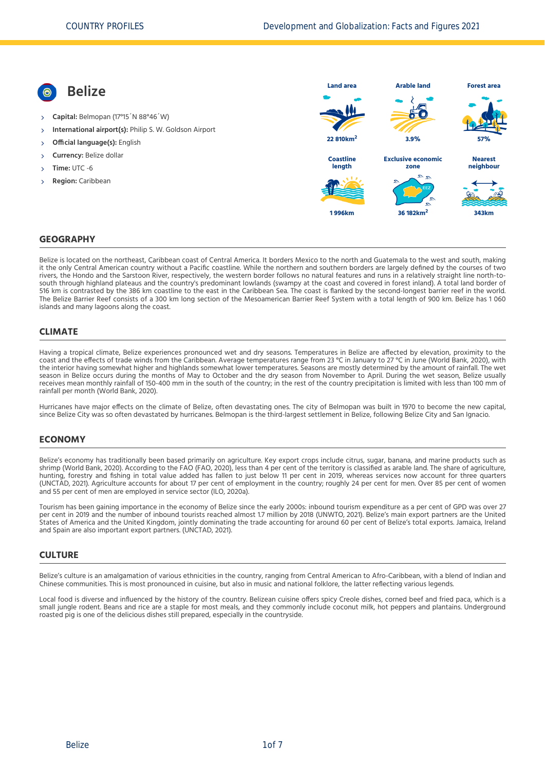**Belize Capital:** Belmopan (17°15´N 88°46´W) **International airport(s):** Philip S. W. Goldson Airport **Official language(s):** English **Currency:** Belize dollar **Time:** UTC -6 **Region:** Caribbean **Land area 22 810km<sup>2</sup> Arable land 3.9% Forest area 57% Coastline length 1 996km Exclusive economic zone 36 182km<sup>2</sup> Nearest neighbour 343km**

## **GEOGRAPHY**

Belize is located on the northeast, Caribbean coast of Central America. It borders Mexico to the north and Guatemala to the west and south, making it the only Central American country without a Pacific coastline. While the northern and southern borders are largely defined by the courses of two rivers, the Hondo and the Sarstoon River, respectively, the western border follows no natural features and runs in a relatively straight line north-tosouth through highland plateaus and the country's predominant lowlands (swampy at the coast and covered in forest inland). A total land border of 516 km is contrasted by the 386 km coastline to the east in the Caribbean Sea. The coast is flanked by the second-longest barrier reef in the world. The Belize Barrier Reef consists of a 300 km long section of the Mesoamerican Barrier Reef System with a total length of 900 km. Belize has 1 060 islands and many lagoons along the coast.

#### **CLIMATE**

Having a tropical climate, Belize experiences pronounced wet and dry seasons. Temperatures in Belize are affected by elevation, proximity to the coast and the effects of trade winds from the Caribbean. Average temperatures range from 23 °C in January to 27 °C in June [\(World Bank, 2020\),](#page-6-0) with the interior having somewhat higher and highlands somewhat lower temperatures. Seasons are mostly determined by the amount of rainfall. The wet season in Belize occurs during the months of May to October and the dry season from November to April. During the wet season, Belize usually receives mean monthly rainfall of 150-400 mm in the south of the country; in the rest of the country precipitation is limited with less than 100 mm of rainfall per month [\(World Bank, 2020\).](#page-6-0)

Hurricanes have major effects on the climate of Belize, often devastating ones. The city of Belmopan was built in 1970 to become the new capital, since Belize City was so often devastated by hurricanes. Belmopan is the third-largest settlement in Belize, following Belize City and San Ignacio.

#### **ECONOMY**

Belize's economy has traditionally been based primarily on agriculture. Key export crops include citrus, sugar, banana, and marine products such as shrimp [\(World Bank, 2020\)](#page-6-0). According to the FAO [\(FAO, 2020\)](#page-6-1), less than 4 per cent of the territory is classified as arable land. The share of agriculture, hunting, forestry and fishing in total value added has fallen to just below 11 per cent in 2019, whereas services now account for three quarters [\(UNCTAD, 2021\)](#page-6-2). Agriculture accounts for about 17 per cent of employment in the country; roughly 24 per cent for men. Over 85 per cent of women and 55 per cent of men are employed in service sector [\(ILO, 2020a\)](#page-6-3).

Tourism has been gaining importance in the economy of Belize since the early 2000s: inbound tourism expenditure as a per cent of GPD was over 27 per cent in 2019 and the number of inbound tourists reached almost 1.7 million by 2018 [\(UNWTO, 2021\)](#page-6-4). Belize's main export partners are the United States of America and the United Kingdom, jointly dominating the trade accounting for around 60 per cent of Belize's total exports. Jamaica, Ireland and Spain are also important export partners. [\(UNCTAD, 2021\)](#page-6-2).

#### **CULTURE**

Belize's culture is an amalgamation of various ethnicities in the country, ranging from Central American to Afro-Caribbean, with a blend of Indian and Chinese communities. This is most pronounced in cuisine, but also in music and national folklore, the latter reflecting various legends.

Local food is diverse and influenced by the history of the country. Belizean cuisine offers spicy Creole dishes, corned beef and fried paca, which is a small jungle rodent. Beans and rice are a staple for most meals, and they commonly include coconut milk, hot peppers and plantains. Underground roasted pig is one of the delicious dishes still prepared, especially in the countryside.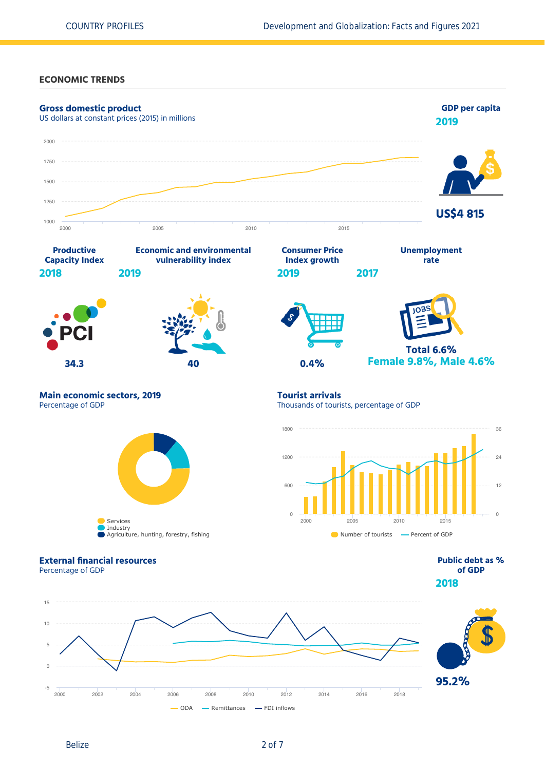#### **ECONOMIC TRENDS**

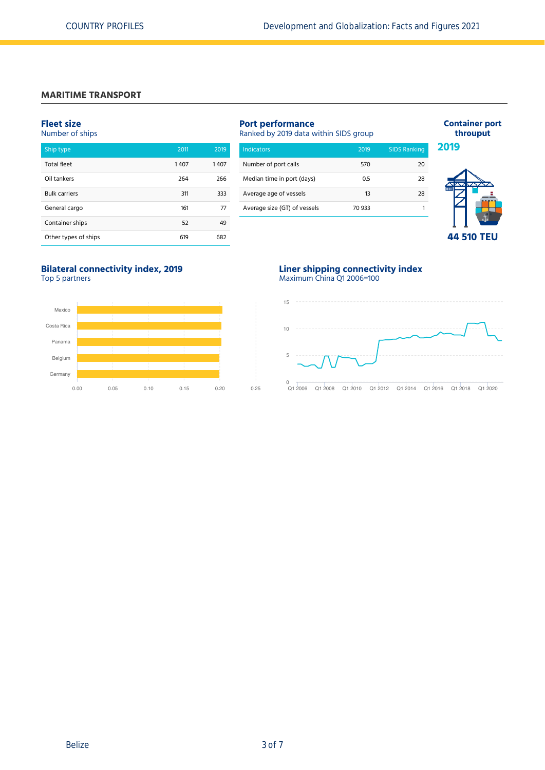#### **MARITIME TRANSPORT**

#### **Fleet size**

Number of ships

| Ship type            | 2011 | 2019 |
|----------------------|------|------|
| <b>Total fleet</b>   | 1407 | 1407 |
| Oil tankers          | 264  | 266  |
| <b>Bulk carriers</b> | 311  | 333  |
| General cargo        | 161  | 77   |
| Container ships      | 52   | 49   |
| Other types of ships | 619  | 682  |

# **Port performance**

Ranked by 2019 data within SIDS group

| Indicators                   | 2019   | <b>SIDS Ranking</b> |
|------------------------------|--------|---------------------|
| Number of port calls         | 570    | 20                  |
| Median time in port (days)   | 0.5    | 28                  |
| Average age of vessels       | 13     | 28                  |
| Average size (GT) of vessels | 70 933 |                     |



**44 510 TEU**

**Container port throuput**

# **Bilateral connectivity index, 2019**





#### **Liner shipping connectivity index** Maximum China Q1 2006=100

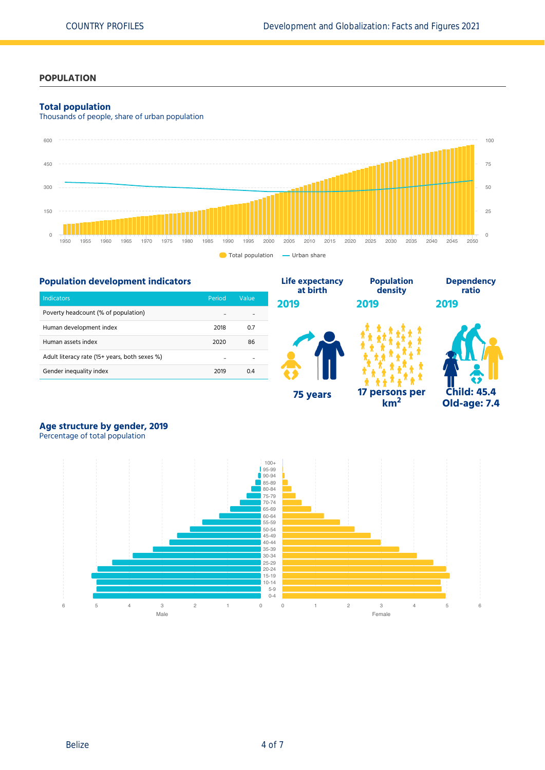# **POPULATION**

#### **Total population**

Thousands of people, share of urban population





# **Age structure by gender, 2019**

Percentage of total population

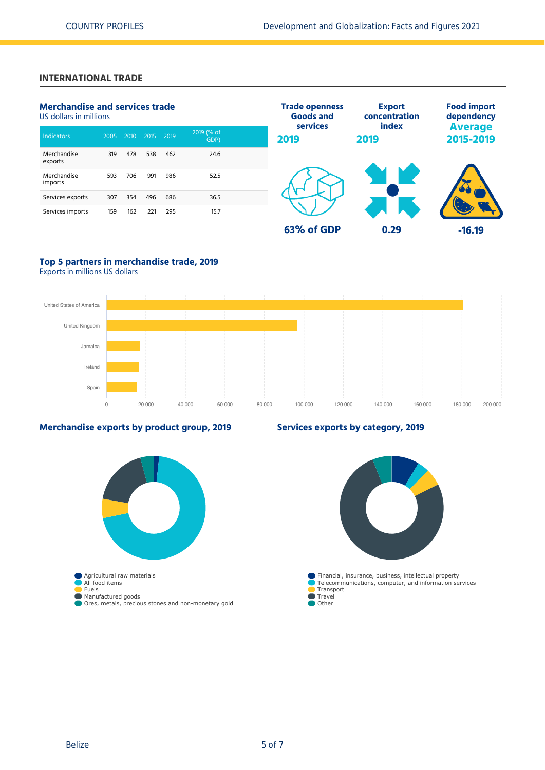# **INTERNATIONAL TRADE**

| <b>Merchandise and services trade</b><br>US dollars in millions |      |      |      |      |                    | <b>Trade openness</b><br><b>Goods and</b><br>services | <b>Export</b><br>concentration<br>index | <b>Food import</b><br>dependency |
|-----------------------------------------------------------------|------|------|------|------|--------------------|-------------------------------------------------------|-----------------------------------------|----------------------------------|
| Indicators                                                      | 2005 | 2010 | 2015 | 2019 | 2019 (% of<br>GDP) | 2019                                                  | 2019                                    | <b>Average</b><br>2015-2019      |
| Merchandise<br>exports                                          | 319  | 478  | 538  | 462  | 24.6               |                                                       |                                         |                                  |
| Merchandise<br>imports                                          | 593  | 706  | 991  | 986  | 52.5               |                                                       |                                         |                                  |
| Services exports                                                | 307  | 354  | 496  | 686  | 36.5               |                                                       |                                         |                                  |
| Services imports                                                | 159  | 162  | 221  | 295  | 15.7               |                                                       |                                         |                                  |
|                                                                 |      |      |      |      |                    | 63% of GDP                                            | 0.29                                    | $-16.19$                         |

# **Top 5 partners in merchandise trade, 2019**

Exports in millions US dollars



### **Merchandise exports by product group, 2019**



# **Services exports by category, 2019**

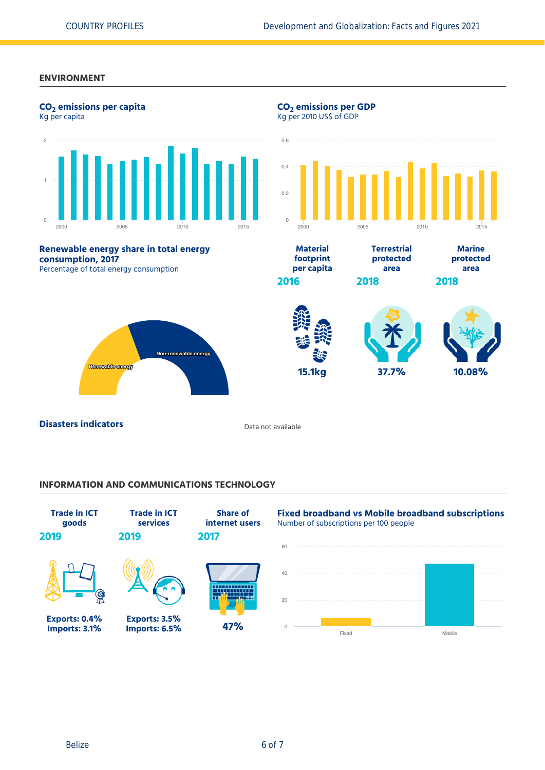#### **ENVIRONMENT**



#### **INFORMATION AND COMMUNICATIONS TECHNOLOGY**